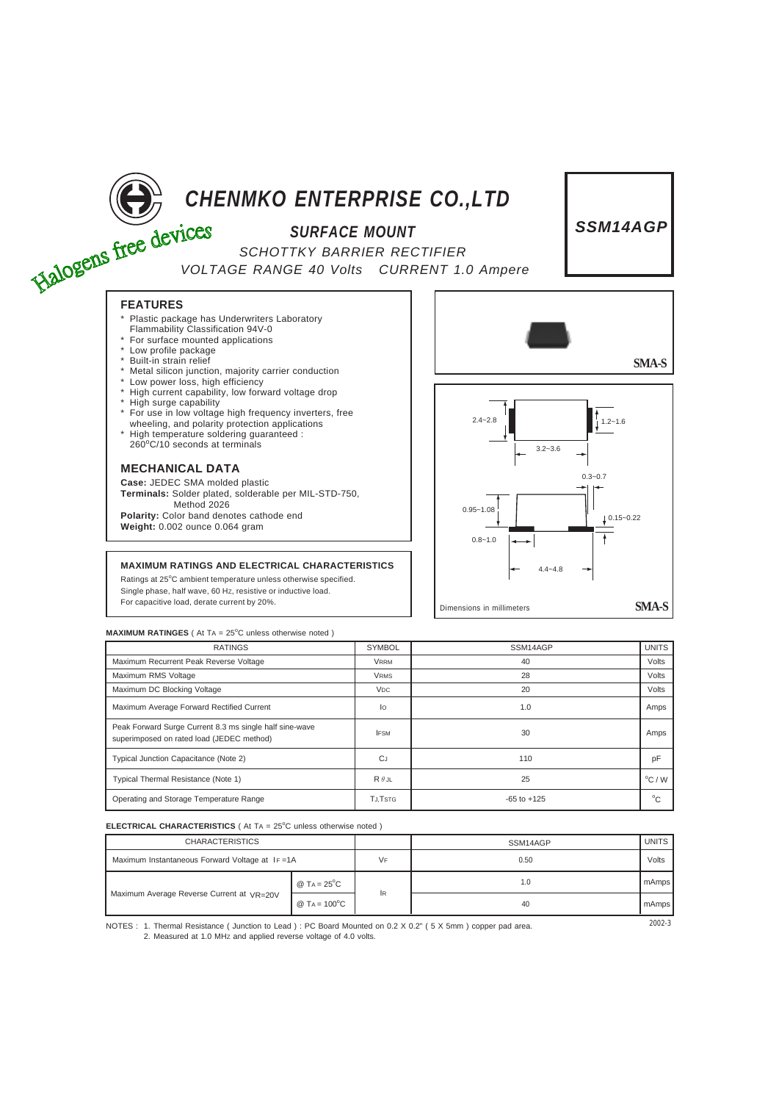

# *CHENMKO ENTERPRISE CO.,LTD*

### *SURFACE MOUNT*

*SCHOTTKY BARRIER RECTIFIER VOLTAGE RANGE 40 Volts CURRENT 1.0 Ampere*

## *SSM14AGP*

- Plastic package has Underwriters Laboratory
- Flammability Classification 94V-0
- \* For surface mounted applications \* Low profile package
- \* Built-in strain relief
- Metal silicon junction, majority carrier conduction
- Low power loss, high efficiency
- \* High current capability, low forward voltage drop
- \* High surge capability
- \* For use in low voltage high frequency inverters, free wheeling, and polarity protection applications
- \* High temperature soldering guaranteed : 260<sup>o</sup> C/10 seconds at terminals

### **MECHANICAL DATA**

**Case:** JEDEC SMA molded plastic **Terminals:** Solder plated, solderable per MIL-STD-750, Method 2026 **Polarity:** Color band denotes cathode end **Weight:** 0.002 ounce 0.064 gram

#### **MAXIMUM RATINGS AND ELECTRICAL CHARACTERISTICS**

Ratings at 25°C ambient temperature unless otherwise specified. Single phase, half wave, 60 HZ, resistive or inductive load. For capacitive load, derate current by 20%.





#### **MAXIMUM RATINGES** ( At TA = 25°C unless otherwise noted )

| <b>RATINGS</b>                                                                                       | <b>SYMBOL</b>         | SSM14AGP        | <b>UNITS</b>     |
|------------------------------------------------------------------------------------------------------|-----------------------|-----------------|------------------|
| Maximum Recurrent Peak Reverse Voltage                                                               | <b>VRRM</b>           | 40              | Volts            |
| Maximum RMS Voltage                                                                                  | <b>VRMS</b>           | 28              | Volts            |
| Maximum DC Blocking Voltage                                                                          | <b>V<sub>DC</sub></b> | 20              | Volts            |
| Maximum Average Forward Rectified Current                                                            | lo                    | 1.0             | Amps             |
| Peak Forward Surge Current 8.3 ms single half sine-wave<br>superimposed on rated load (JEDEC method) | <b>IFSM</b>           | 30              | Amps             |
| Typical Junction Capacitance (Note 2)                                                                | <b>CJ</b>             | 110             | pF               |
| Typical Thermal Resistance (Note 1)                                                                  | $R \theta$ .JL        | 25              | $^{\circ}$ C / W |
| Operating and Storage Temperature Range                                                              | TJ.TSTG               | $-65$ to $+125$ | $^{\circ}C$      |

#### **ELECTRICAL CHARACTERISTICS** ( At TA = 25°C unless otherwise noted )

| <b>CHARACTERISTICS</b>                         |                                       |           | SSM14AGP | <b>UNITS</b> |
|------------------------------------------------|---------------------------------------|-----------|----------|--------------|
| Maximum Instantaneous Forward Voltage at IF=1A |                                       | VF        | 0.50     | Volts        |
| Maximum Average Reverse Current at VR=20V      | @ TA = $25^{\circ}$ C                 | <b>IR</b> | 1.0      | mAmps        |
|                                                | $@$ T <sub>A</sub> = 100 $^{\circ}$ C |           | 40       | mAmps        |

NOTES : 2002-3 1. Thermal Resistance ( Junction to Lead ) : PC Board Mounted on 0.2 X 0.2" ( 5 X 5mm ) copper pad area. 2. Measured at 1.0 MHz and applied reverse voltage of 4.0 volts.